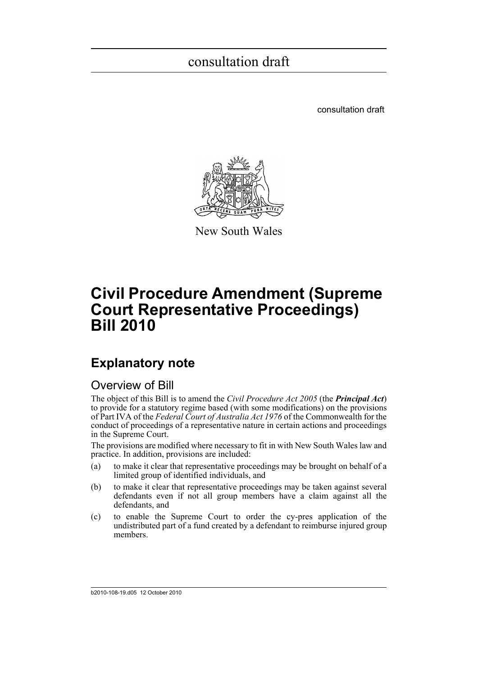consultation draft



New South Wales

## **Civil Procedure Amendment (Supreme Court Representative Proceedings) Bill 2010**

### **Explanatory note**

### Overview of Bill

The object of this Bill is to amend the *Civil Procedure Act 2005* (the *Principal Act*) to provide for a statutory regime based (with some modifications) on the provisions of Part IVA of the *Federal Court of Australia Act 1976* of the Commonwealth for the conduct of proceedings of a representative nature in certain actions and proceedings in the Supreme Court.

The provisions are modified where necessary to fit in with New South Wales law and practice. In addition, provisions are included:

- (a) to make it clear that representative proceedings may be brought on behalf of a limited group of identified individuals, and
- (b) to make it clear that representative proceedings may be taken against several defendants even if not all group members have a claim against all the defendants, and
- (c) to enable the Supreme Court to order the cy-pres application of the undistributed part of a fund created by a defendant to reimburse injured group members.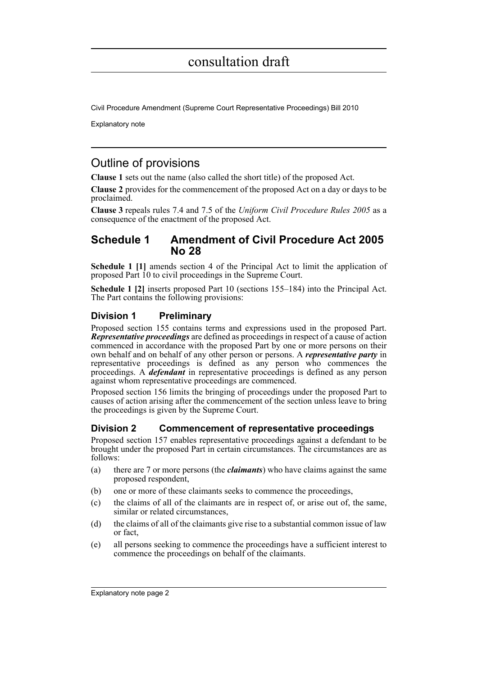Civil Procedure Amendment (Supreme Court Representative Proceedings) Bill 2010

Explanatory note

### Outline of provisions

**Clause 1** sets out the name (also called the short title) of the proposed Act.

**Clause 2** provides for the commencement of the proposed Act on a day or days to be proclaimed.

**Clause 3** repeals rules 7.4 and 7.5 of the *Uniform Civil Procedure Rules 2005* as a consequence of the enactment of the proposed Act.

### **Schedule 1 Amendment of Civil Procedure Act 2005 No 28**

**Schedule 1 [1]** amends section 4 of the Principal Act to limit the application of proposed Part 10 to civil proceedings in the Supreme Court.

**Schedule 1 [2]** inserts proposed Part 10 (sections 155–184) into the Principal Act. The Part contains the following provisions:

### **Division 1 Preliminary**

Proposed section 155 contains terms and expressions used in the proposed Part. *Representative proceedings* are defined as proceedings in respect of a cause of action commenced in accordance with the proposed Part by one or more persons on their own behalf and on behalf of any other person or persons. A *representative party* in representative proceedings is defined as any person who commences the proceedings. A *defendant* in representative proceedings is defined as any person against whom representative proceedings are commenced.

Proposed section 156 limits the bringing of proceedings under the proposed Part to causes of action arising after the commencement of the section unless leave to bring the proceedings is given by the Supreme Court.

### **Division 2 Commencement of representative proceedings**

Proposed section 157 enables representative proceedings against a defendant to be brought under the proposed Part in certain circumstances. The circumstances are as follows:

- (a) there are 7 or more persons (the *claimants*) who have claims against the same proposed respondent,
- (b) one or more of these claimants seeks to commence the proceedings,
- (c) the claims of all of the claimants are in respect of, or arise out of, the same, similar or related circumstances,
- (d) the claims of all of the claimants give rise to a substantial common issue of law or fact,
- (e) all persons seeking to commence the proceedings have a sufficient interest to commence the proceedings on behalf of the claimants.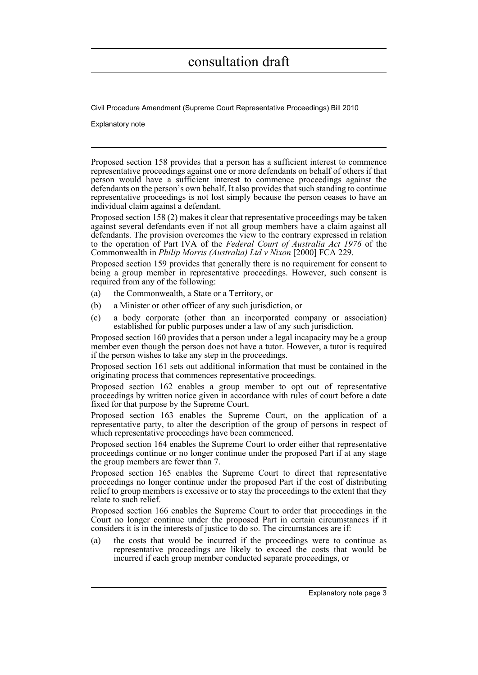Civil Procedure Amendment (Supreme Court Representative Proceedings) Bill 2010

Explanatory note

Proposed section 158 provides that a person has a sufficient interest to commence representative proceedings against one or more defendants on behalf of others if that person would have a sufficient interest to commence proceedings against the defendants on the person's own behalf. It also provides that such standing to continue representative proceedings is not lost simply because the person ceases to have an individual claim against a defendant.

Proposed section 158 (2) makes it clear that representative proceedings may be taken against several defendants even if not all group members have a claim against all defendants. The provision overcomes the view to the contrary expressed in relation to the operation of Part IVA of the *Federal Court of Australia Act 1976* of the Commonwealth in *Philip Morris (Australia) Ltd v Nixon* [2000] FCA 229.

Proposed section 159 provides that generally there is no requirement for consent to being a group member in representative proceedings. However, such consent is required from any of the following:

- (a) the Commonwealth, a State or a Territory, or
- (b) a Minister or other officer of any such jurisdiction, or
- (c) a body corporate (other than an incorporated company or association) established for public purposes under a law of any such jurisdiction.

Proposed section 160 provides that a person under a legal incapacity may be a group member even though the person does not have a tutor. However, a tutor is required if the person wishes to take any step in the proceedings.

Proposed section 161 sets out additional information that must be contained in the originating process that commences representative proceedings.

Proposed section 162 enables a group member to opt out of representative proceedings by written notice given in accordance with rules of court before a date fixed for that purpose by the Supreme Court.

Proposed section 163 enables the Supreme Court, on the application of a representative party, to alter the description of the group of persons in respect of which representative proceedings have been commenced.

Proposed section 164 enables the Supreme Court to order either that representative proceedings continue or no longer continue under the proposed Part if at any stage the group members are fewer than 7.

Proposed section 165 enables the Supreme Court to direct that representative proceedings no longer continue under the proposed Part if the cost of distributing relief to group members is excessive or to stay the proceedings to the extent that they relate to such relief.

Proposed section 166 enables the Supreme Court to order that proceedings in the Court no longer continue under the proposed Part in certain circumstances if it considers it is in the interests of justice to do so. The circumstances are if:

(a) the costs that would be incurred if the proceedings were to continue as representative proceedings are likely to exceed the costs that would be incurred if each group member conducted separate proceedings, or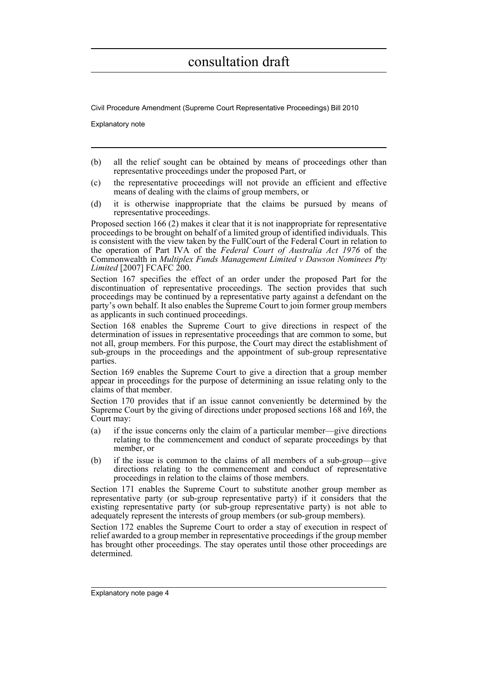Civil Procedure Amendment (Supreme Court Representative Proceedings) Bill 2010

Explanatory note

- (b) all the relief sought can be obtained by means of proceedings other than representative proceedings under the proposed Part, or
- (c) the representative proceedings will not provide an efficient and effective means of dealing with the claims of group members, or
- (d) it is otherwise inappropriate that the claims be pursued by means of representative proceedings.

Proposed section 166 (2) makes it clear that it is not inappropriate for representative proceedings to be brought on behalf of a limited group of identified individuals. This is consistent with the view taken by the FullCourt of the Federal Court in relation to the operation of Part IVA of the *Federal Court of Australia Act 1976* of the Commonwealth in *Multiplex Funds Management Limited v Dawson Nominees Pty Limited* [2007] FCAFC 200.

Section 167 specifies the effect of an order under the proposed Part for the discontinuation of representative proceedings. The section provides that such proceedings may be continued by a representative party against a defendant on the party's own behalf. It also enables the Supreme Court to join former group members as applicants in such continued proceedings.

Section 168 enables the Supreme Court to give directions in respect of the determination of issues in representative proceedings that are common to some, but not all, group members. For this purpose, the Court may direct the establishment of sub-groups in the proceedings and the appointment of sub-group representative parties.

Section 169 enables the Supreme Court to give a direction that a group member appear in proceedings for the purpose of determining an issue relating only to the claims of that member.

Section 170 provides that if an issue cannot conveniently be determined by the Supreme Court by the giving of directions under proposed sections 168 and 169, the Court may:

- (a) if the issue concerns only the claim of a particular member—give directions relating to the commencement and conduct of separate proceedings by that member, or
- (b) if the issue is common to the claims of all members of a sub-group—give directions relating to the commencement and conduct of representative proceedings in relation to the claims of those members.

Section 171 enables the Supreme Court to substitute another group member as representative party (or sub-group representative party) if it considers that the existing representative party (or sub-group representative party) is not able to adequately represent the interests of group members (or sub-group members).

Section 172 enables the Supreme Court to order a stay of execution in respect of relief awarded to a group member in representative proceedings if the group member has brought other proceedings. The stay operates until those other proceedings are determined.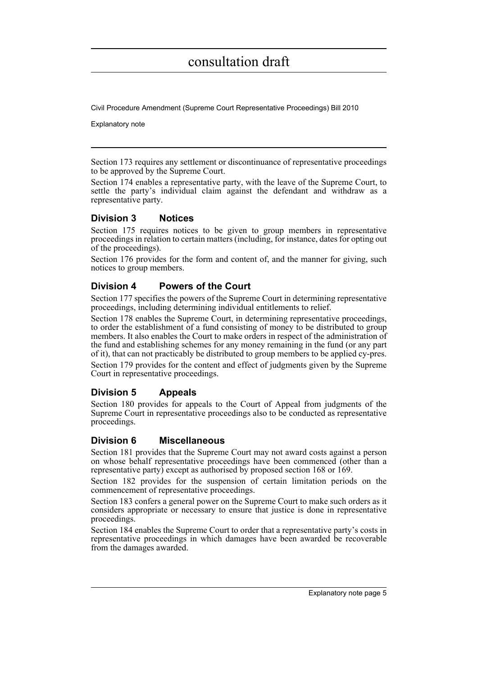Civil Procedure Amendment (Supreme Court Representative Proceedings) Bill 2010

Explanatory note

Section 173 requires any settlement or discontinuance of representative proceedings to be approved by the Supreme Court.

Section 174 enables a representative party, with the leave of the Supreme Court, to settle the party's individual claim against the defendant and withdraw as a representative party.

### **Division 3 Notices**

Section 175 requires notices to be given to group members in representative proceedings in relation to certain matters (including, for instance, dates for opting out of the proceedings).

Section 176 provides for the form and content of, and the manner for giving, such notices to group members.

### **Division 4 Powers of the Court**

Section 177 specifies the powers of the Supreme Court in determining representative proceedings, including determining individual entitlements to relief.

Section 178 enables the Supreme Court, in determining representative proceedings, to order the establishment of a fund consisting of money to be distributed to group members. It also enables the Court to make orders in respect of the administration of the fund and establishing schemes for any money remaining in the fund (or any part of it), that can not practicably be distributed to group members to be applied cy-pres.

Section 179 provides for the content and effect of judgments given by the Supreme Court in representative proceedings.

### **Division 5 Appeals**

Section 180 provides for appeals to the Court of Appeal from judgments of the Supreme Court in representative proceedings also to be conducted as representative proceedings.

### **Division 6 Miscellaneous**

Section 181 provides that the Supreme Court may not award costs against a person on whose behalf representative proceedings have been commenced (other than a representative party) except as authorised by proposed section 168 or 169.

Section 182 provides for the suspension of certain limitation periods on the commencement of representative proceedings.

Section 183 confers a general power on the Supreme Court to make such orders as it considers appropriate or necessary to ensure that justice is done in representative proceedings.

Section 184 enables the Supreme Court to order that a representative party's costs in representative proceedings in which damages have been awarded be recoverable from the damages awarded.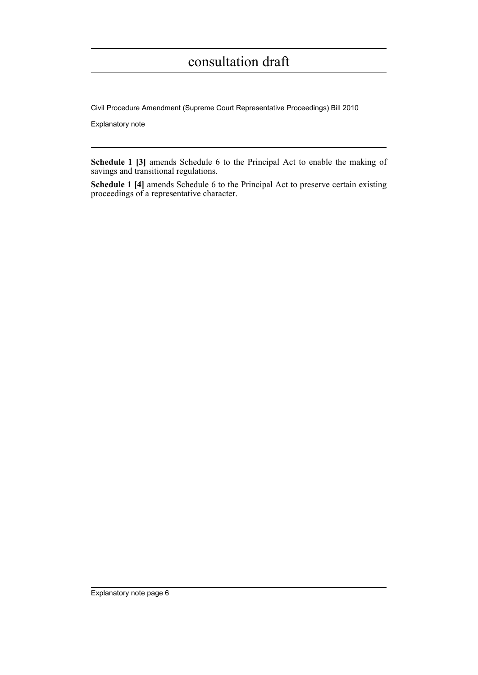Civil Procedure Amendment (Supreme Court Representative Proceedings) Bill 2010

Explanatory note

**Schedule 1 [3]** amends Schedule 6 to the Principal Act to enable the making of savings and transitional regulations.

**Schedule 1 [4]** amends Schedule 6 to the Principal Act to preserve certain existing proceedings of a representative character.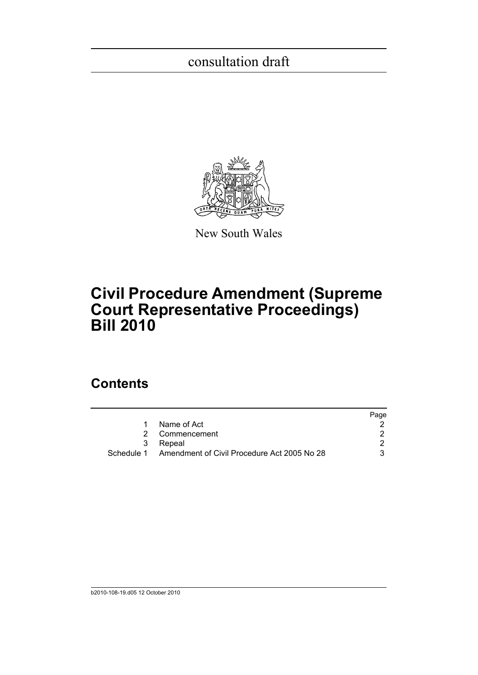

New South Wales

## **Civil Procedure Amendment (Supreme Court Representative Proceedings) Bill 2010**

### **Contents**

|                                                        | Page |
|--------------------------------------------------------|------|
| Name of Act                                            |      |
| 2 Commencement                                         |      |
| 3 Repeal                                               |      |
| Schedule 1 Amendment of Civil Procedure Act 2005 No 28 |      |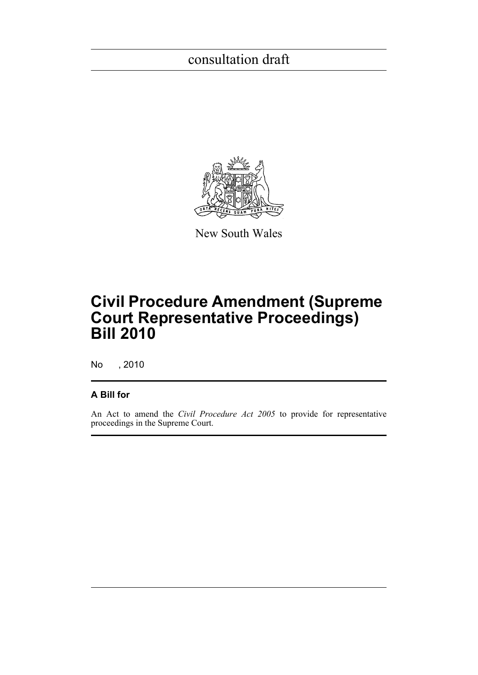

New South Wales

## **Civil Procedure Amendment (Supreme Court Representative Proceedings) Bill 2010**

No , 2010

### **A Bill for**

An Act to amend the *Civil Procedure Act 2005* to provide for representative proceedings in the Supreme Court.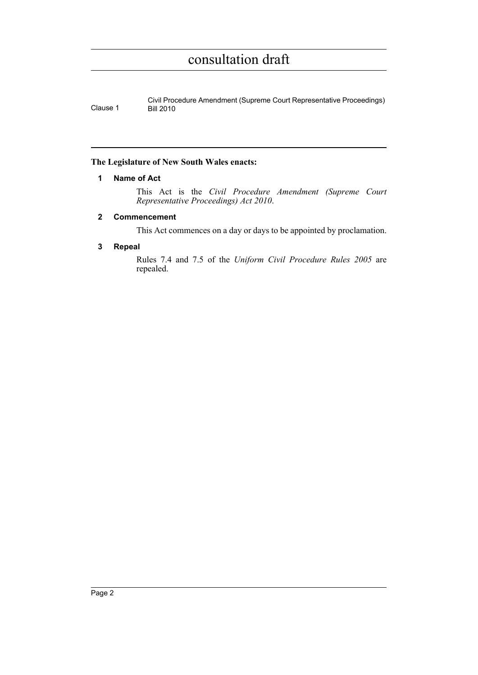Civil Procedure Amendment (Supreme Court Representative Proceedings) Clause 1 Bill 2010

### <span id="page-8-0"></span>**The Legislature of New South Wales enacts:**

### **1 Name of Act**

This Act is the *Civil Procedure Amendment (Supreme Court Representative Proceedings) Act 2010*.

### <span id="page-8-1"></span>**2 Commencement**

This Act commences on a day or days to be appointed by proclamation.

### <span id="page-8-2"></span>**3 Repeal**

Rules 7.4 and 7.5 of the *Uniform Civil Procedure Rules 2005* are repealed.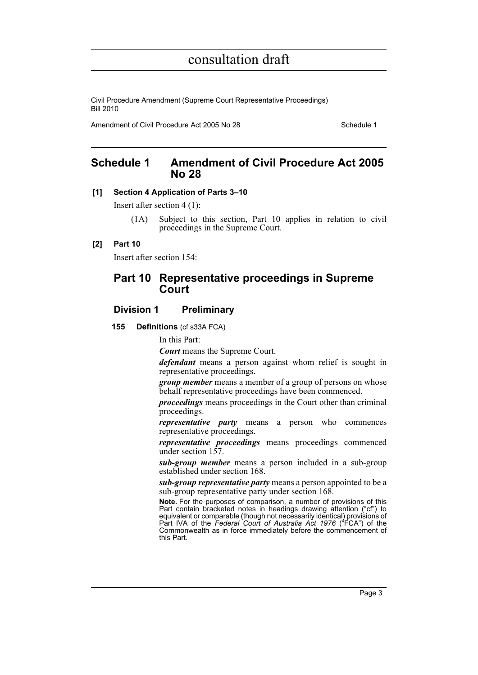Civil Procedure Amendment (Supreme Court Representative Proceedings) Bill 2010

Amendment of Civil Procedure Act 2005 No 28 Schedule 1

### <span id="page-9-0"></span>**Schedule 1 Amendment of Civil Procedure Act 2005 No 28**

### **[1] Section 4 Application of Parts 3–10**

Insert after section 4 (1):

(1A) Subject to this section, Part 10 applies in relation to civil proceedings in the Supreme Court.

### **[2] Part 10**

Insert after section 154:

### **Part 10 Representative proceedings in Supreme Court**

### **Division 1 Preliminary**

**155 Definitions** (cf s33A FCA)

In this Part:

*Court* means the Supreme Court.

*defendant* means a person against whom relief is sought in representative proceedings.

*group member* means a member of a group of persons on whose behalf representative proceedings have been commenced.

*proceedings* means proceedings in the Court other than criminal proceedings.

*representative party* means a person who commences representative proceedings.

*representative proceedings* means proceedings commenced under section  $157$ .

*sub-group member* means a person included in a sub-group established under section 168.

*sub-group representative party* means a person appointed to be a sub-group representative party under section 168.

**Note.** For the purposes of comparison, a number of provisions of this Part contain bracketed notes in headings drawing attention ("cf") to equivalent or comparable (though not necessarily identical) provisions of Part IVA of the *Federal Court of Australia Act 1976* ("FCA") of the Commonwealth as in force immediately before the commencement of this Part.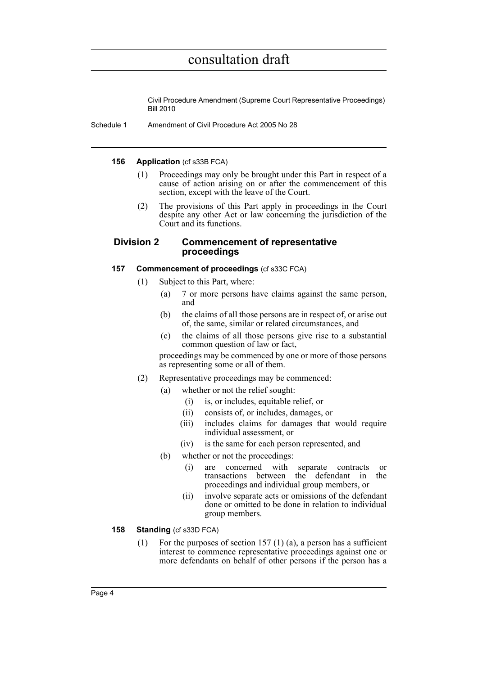Civil Procedure Amendment (Supreme Court Representative Proceedings) Bill 2010

Schedule 1 Amendment of Civil Procedure Act 2005 No 28

#### **156 Application** (cf s33B FCA)

- (1) Proceedings may only be brought under this Part in respect of a cause of action arising on or after the commencement of this section, except with the leave of the Court.
- (2) The provisions of this Part apply in proceedings in the Court despite any other Act or law concerning the jurisdiction of the Court and its functions.

### **Division 2 Commencement of representative proceedings**

### **157 Commencement of proceedings** (cf s33C FCA)

- (1) Subject to this Part, where:
	- (a) 7 or more persons have claims against the same person, and
	- (b) the claims of all those persons are in respect of, or arise out of, the same, similar or related circumstances, and
	- (c) the claims of all those persons give rise to a substantial common question of law or fact,

proceedings may be commenced by one or more of those persons as representing some or all of them.

- (2) Representative proceedings may be commenced:
	- (a) whether or not the relief sought:
		- (i) is, or includes, equitable relief, or
		- (ii) consists of, or includes, damages, or
		- (iii) includes claims for damages that would require individual assessment, or
		- (iv) is the same for each person represented, and
	- (b) whether or not the proceedings:
		- (i) are concerned with separate contracts or transactions between the defendant in the proceedings and individual group members, or
		- (ii) involve separate acts or omissions of the defendant done or omitted to be done in relation to individual group members.

### **158 Standing** (cf s33D FCA)

(1) For the purposes of section 157 (1) (a), a person has a sufficient interest to commence representative proceedings against one or more defendants on behalf of other persons if the person has a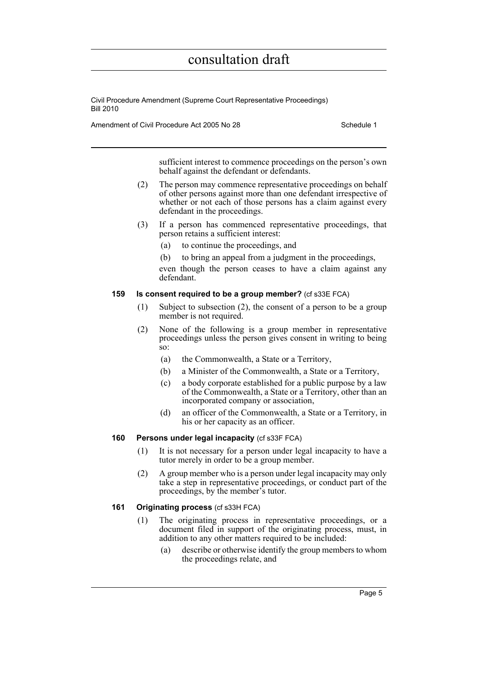Civil Procedure Amendment (Supreme Court Representative Proceedings) Bill 2010

Amendment of Civil Procedure Act 2005 No 28 Schedule 1

sufficient interest to commence proceedings on the person's own behalf against the defendant or defendants.

- (2) The person may commence representative proceedings on behalf of other persons against more than one defendant irrespective of whether or not each of those persons has a claim against every defendant in the proceedings.
- (3) If a person has commenced representative proceedings, that person retains a sufficient interest:
	- (a) to continue the proceedings, and
	- (b) to bring an appeal from a judgment in the proceedings,

even though the person ceases to have a claim against any defendant.

### **159 Is consent required to be a group member?** (cf s33E FCA)

- (1) Subject to subsection (2), the consent of a person to be a group member is not required.
- (2) None of the following is a group member in representative proceedings unless the person gives consent in writing to being so:
	- (a) the Commonwealth, a State or a Territory,
	- (b) a Minister of the Commonwealth, a State or a Territory,
	- (c) a body corporate established for a public purpose by a law of the Commonwealth, a State or a Territory, other than an incorporated company or association,
	- (d) an officer of the Commonwealth, a State or a Territory, in his or her capacity as an officer.

#### **160 Persons under legal incapacity** (cf s33F FCA)

- (1) It is not necessary for a person under legal incapacity to have a tutor merely in order to be a group member.
- (2) A group member who is a person under legal incapacity may only take a step in representative proceedings, or conduct part of the proceedings, by the member's tutor.

#### **161 Originating process** (cf s33H FCA)

- (1) The originating process in representative proceedings, or a document filed in support of the originating process, must, in addition to any other matters required to be included:
	- (a) describe or otherwise identify the group members to whom the proceedings relate, and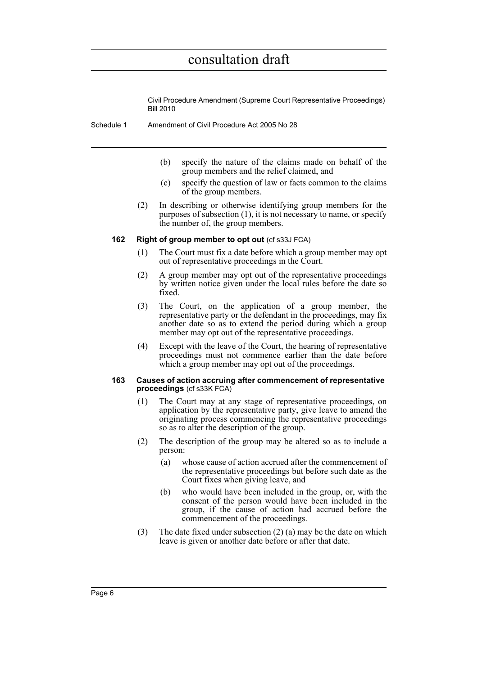Civil Procedure Amendment (Supreme Court Representative Proceedings) Bill 2010

- Schedule 1 Amendment of Civil Procedure Act 2005 No 28
	- (b) specify the nature of the claims made on behalf of the group members and the relief claimed, and
	- (c) specify the question of law or facts common to the claims of the group members.
	- (2) In describing or otherwise identifying group members for the purposes of subsection (1), it is not necessary to name, or specify the number of, the group members.

#### **162 Right of group member to opt out** (cf s33J FCA)

- (1) The Court must fix a date before which a group member may opt out of representative proceedings in the Court.
- (2) A group member may opt out of the representative proceedings by written notice given under the local rules before the date so fixed.
- (3) The Court, on the application of a group member, the representative party or the defendant in the proceedings, may fix another date so as to extend the period during which a group member may opt out of the representative proceedings.
- (4) Except with the leave of the Court, the hearing of representative proceedings must not commence earlier than the date before which a group member may opt out of the proceedings.

#### **163 Causes of action accruing after commencement of representative proceedings** (cf s33K FCA)

- (1) The Court may at any stage of representative proceedings, on application by the representative party, give leave to amend the originating process commencing the representative proceedings so as to alter the description of the group.
- (2) The description of the group may be altered so as to include a person:
	- (a) whose cause of action accrued after the commencement of the representative proceedings but before such date as the Court fixes when giving leave, and
	- (b) who would have been included in the group, or, with the consent of the person would have been included in the group, if the cause of action had accrued before the commencement of the proceedings.
- (3) The date fixed under subsection (2) (a) may be the date on which leave is given or another date before or after that date.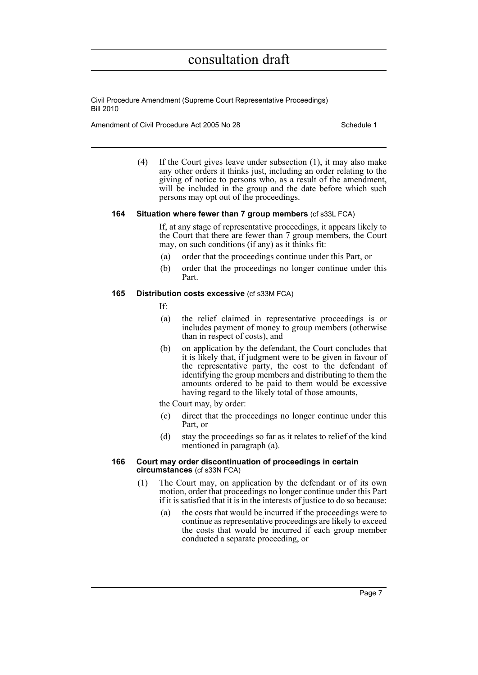Civil Procedure Amendment (Supreme Court Representative Proceedings) Bill 2010

Amendment of Civil Procedure Act 2005 No 28 Schedule 1

(4) If the Court gives leave under subsection (1), it may also make any other orders it thinks just, including an order relating to the giving of notice to persons who, as a result of the amendment, will be included in the group and the date before which such persons may opt out of the proceedings.

#### **164 Situation where fewer than 7 group members** (cf s33L FCA)

If, at any stage of representative proceedings, it appears likely to the Court that there are fewer than 7 group members, the Court may, on such conditions (if any) as it thinks fit:

- (a) order that the proceedings continue under this Part, or
- (b) order that the proceedings no longer continue under this Part.

### **165 Distribution costs excessive** (cf s33M FCA)

- If:
- (a) the relief claimed in representative proceedings is or includes payment of money to group members (otherwise than in respect of costs), and
- (b) on application by the defendant, the Court concludes that it is likely that, if judgment were to be given in favour of the representative party, the cost to the defendant of identifying the group members and distributing to them the amounts ordered to be paid to them would be excessive having regard to the likely total of those amounts,
- the Court may, by order:
- (c) direct that the proceedings no longer continue under this Part, or
- (d) stay the proceedings so far as it relates to relief of the kind mentioned in paragraph (a).

#### **166 Court may order discontinuation of proceedings in certain circumstances** (cf s33N FCA)

- (1) The Court may, on application by the defendant or of its own motion, order that proceedings no longer continue under this Part if it is satisfied that it is in the interests of justice to do so because:
	- (a) the costs that would be incurred if the proceedings were to continue as representative proceedings are likely to exceed the costs that would be incurred if each group member conducted a separate proceeding, or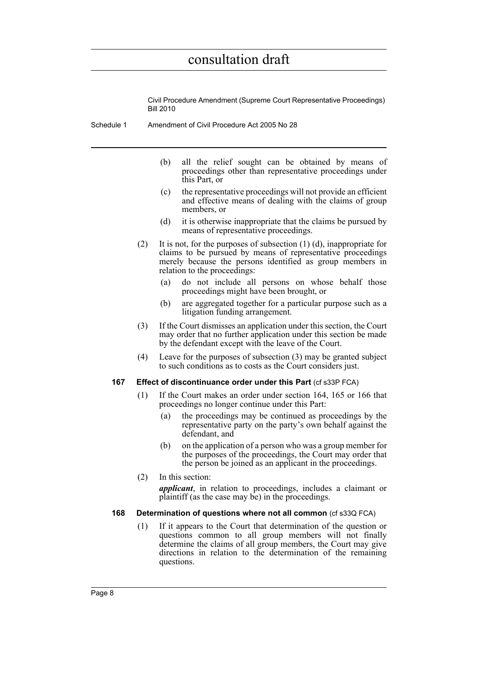Civil Procedure Amendment (Supreme Court Representative Proceedings) Bill 2010

Schedule 1 Amendment of Civil Procedure Act 2005 No 28

- (b) all the relief sought can be obtained by means of proceedings other than representative proceedings under this Part, or
- (c) the representative proceedings will not provide an efficient and effective means of dealing with the claims of group members, or
- (d) it is otherwise inappropriate that the claims be pursued by means of representative proceedings.
- (2) It is not, for the purposes of subsection (1) (d), inappropriate for claims to be pursued by means of representative proceedings merely because the persons identified as group members in relation to the proceedings:
	- (a) do not include all persons on whose behalf those proceedings might have been brought, or
	- (b) are aggregated together for a particular purpose such as a litigation funding arrangement.
- (3) If the Court dismisses an application under this section, the Court may order that no further application under this section be made by the defendant except with the leave of the Court.
- (4) Leave for the purposes of subsection (3) may be granted subject to such conditions as to costs as the Court considers just.

#### **167 Effect of discontinuance order under this Part** (cf s33P FCA)

- (1) If the Court makes an order under section 164, 165 or 166 that proceedings no longer continue under this Part:
	- (a) the proceedings may be continued as proceedings by the representative party on the party's own behalf against the defendant, and
	- (b) on the application of a person who was a group member for the purposes of the proceedings, the Court may order that the person be joined as an applicant in the proceedings.
- (2) In this section:

*applicant*, in relation to proceedings, includes a claimant or plaintiff (as the case may be) in the proceedings.

#### **168** Determination of questions where not all common (cf s33Q FCA)

(1) If it appears to the Court that determination of the question or questions common to all group members will not finally determine the claims of all group members, the Court may give directions in relation to the determination of the remaining questions.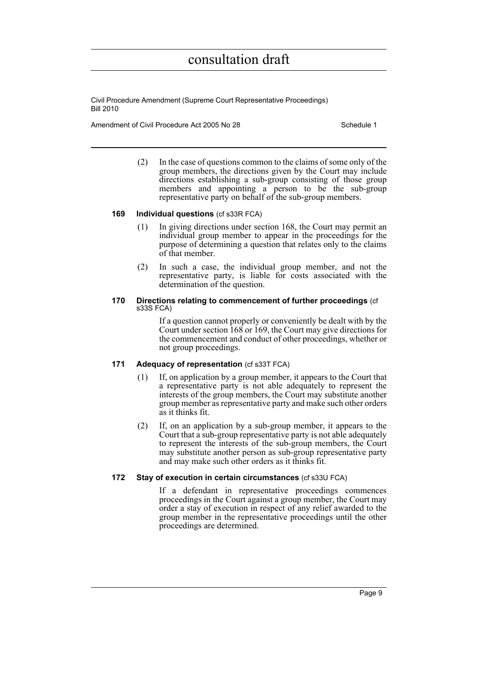Civil Procedure Amendment (Supreme Court Representative Proceedings) Bill 2010

Amendment of Civil Procedure Act 2005 No 28 Schedule 1

(2) In the case of questions common to the claims of some only of the group members, the directions given by the Court may include directions establishing a sub-group consisting of those group members and appointing a person to be the sub-group representative party on behalf of the sub-group members.

#### **169 Individual questions** (cf s33R FCA)

- (1) In giving directions under section 168, the Court may permit an individual group member to appear in the proceedings for the purpose of determining a question that relates only to the claims of that member.
- (2) In such a case, the individual group member, and not the representative party, is liable for costs associated with the determination of the question.

#### **170 Directions relating to commencement of further proceedings** (cf s33S FCA)

If a question cannot properly or conveniently be dealt with by the Court under section 168 or 169, the Court may give directions for the commencement and conduct of other proceedings, whether or not group proceedings.

#### **171 Adequacy of representation** (cf s33T FCA)

- (1) If, on application by a group member, it appears to the Court that a representative party is not able adequately to represent the interests of the group members, the Court may substitute another group member as representative party and make such other orders as it thinks fit.
- (2) If, on an application by a sub-group member, it appears to the Court that a sub-group representative party is not able adequately to represent the interests of the sub-group members, the Court may substitute another person as sub-group representative party and may make such other orders as it thinks fit.

#### **172 Stay of execution in certain circumstances** (cf s33U FCA)

If a defendant in representative proceedings commences proceedings in the Court against a group member, the Court may order a stay of execution in respect of any relief awarded to the group member in the representative proceedings until the other proceedings are determined.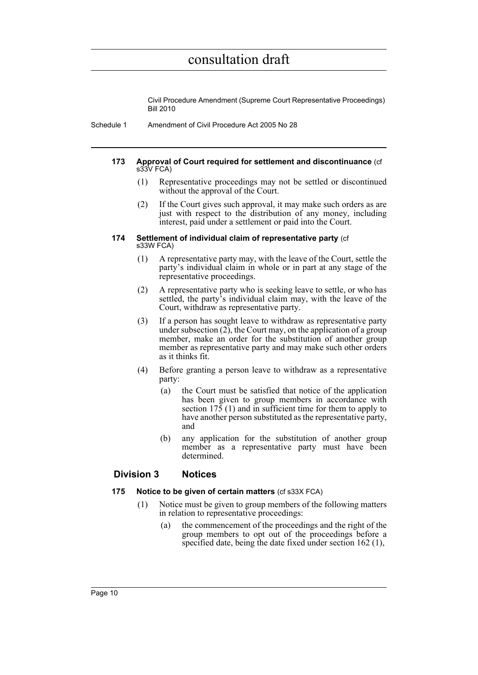Civil Procedure Amendment (Supreme Court Representative Proceedings) Bill 2010

Schedule 1 Amendment of Civil Procedure Act 2005 No 28

#### **173 Approval of Court required for settlement and discontinuance** (cf s33V FCA)

- (1) Representative proceedings may not be settled or discontinued without the approval of the Court.
- (2) If the Court gives such approval, it may make such orders as are just with respect to the distribution of any money, including interest, paid under a settlement or paid into the Court.

#### **174 Settlement of individual claim of representative party** (cf s33W FCA)

- (1) A representative party may, with the leave of the Court, settle the party's individual claim in whole or in part at any stage of the representative proceedings.
- (2) A representative party who is seeking leave to settle, or who has settled, the party's individual claim may, with the leave of the Court, withdraw as representative party.
- (3) If a person has sought leave to withdraw as representative party under subsection  $(2)$ , the Court may, on the application of a group member, make an order for the substitution of another group member as representative party and may make such other orders as it thinks fit.
- (4) Before granting a person leave to withdraw as a representative party:
	- (a) the Court must be satisfied that notice of the application has been given to group members in accordance with section 175 (1) and in sufficient time for them to apply to have another person substituted as the representative party, and
	- (b) any application for the substitution of another group member as a representative party must have been determined.

### **Division 3 Notices**

#### **175 Notice to be given of certain matters** (cf s33X FCA)

- (1) Notice must be given to group members of the following matters in relation to representative proceedings:
	- (a) the commencement of the proceedings and the right of the group members to opt out of the proceedings before a specified date, being the date fixed under section 162 (1),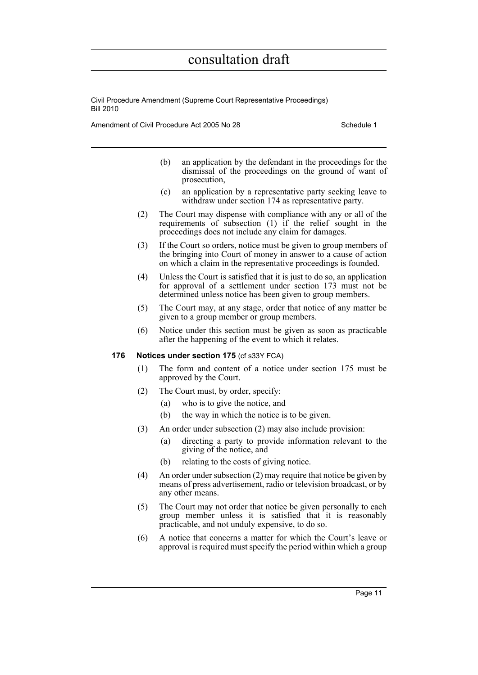Civil Procedure Amendment (Supreme Court Representative Proceedings) Bill 2010

Amendment of Civil Procedure Act 2005 No 28 Schedule 1

- (b) an application by the defendant in the proceedings for the dismissal of the proceedings on the ground of want of prosecution,
- (c) an application by a representative party seeking leave to withdraw under section 174 as representative party.
- (2) The Court may dispense with compliance with any or all of the requirements of subsection (1) if the relief sought in the proceedings does not include any claim for damages.
- (3) If the Court so orders, notice must be given to group members of the bringing into Court of money in answer to a cause of action on which a claim in the representative proceedings is founded.
- (4) Unless the Court is satisfied that it is just to do so, an application for approval of a settlement under section 173 must not be determined unless notice has been given to group members.
- (5) The Court may, at any stage, order that notice of any matter be given to a group member or group members.
- (6) Notice under this section must be given as soon as practicable after the happening of the event to which it relates.

#### **176 Notices under section 175** (cf s33Y FCA)

- (1) The form and content of a notice under section 175 must be approved by the Court.
- (2) The Court must, by order, specify:
	- (a) who is to give the notice, and
	- (b) the way in which the notice is to be given.
- (3) An order under subsection (2) may also include provision:
	- (a) directing a party to provide information relevant to the giving of the notice, and
	- (b) relating to the costs of giving notice.
- (4) An order under subsection (2) may require that notice be given by means of press advertisement, radio or television broadcast, or by any other means.
- (5) The Court may not order that notice be given personally to each group member unless it is satisfied that it is reasonably practicable, and not unduly expensive, to do so.
- (6) A notice that concerns a matter for which the Court's leave or approval is required must specify the period within which a group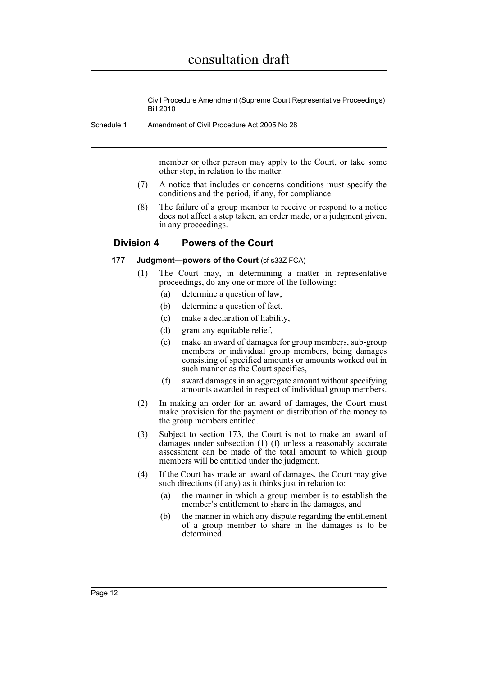Civil Procedure Amendment (Supreme Court Representative Proceedings) Bill 2010

Schedule 1 Amendment of Civil Procedure Act 2005 No 28

member or other person may apply to the Court, or take some other step, in relation to the matter.

- (7) A notice that includes or concerns conditions must specify the conditions and the period, if any, for compliance.
- (8) The failure of a group member to receive or respond to a notice does not affect a step taken, an order made, or a judgment given, in any proceedings.

### **Division 4 Powers of the Court**

### **177 Judgment—powers of the Court** (cf s33Z FCA)

- (1) The Court may, in determining a matter in representative proceedings, do any one or more of the following:
	- (a) determine a question of law,
	- (b) determine a question of fact,
	- (c) make a declaration of liability,
	- (d) grant any equitable relief,
	- (e) make an award of damages for group members, sub-group members or individual group members, being damages consisting of specified amounts or amounts worked out in such manner as the Court specifies,
	- (f) award damages in an aggregate amount without specifying amounts awarded in respect of individual group members.
- (2) In making an order for an award of damages, the Court must make provision for the payment or distribution of the money to the group members entitled.
- (3) Subject to section 173, the Court is not to make an award of damages under subsection (1) (f) unless a reasonably accurate assessment can be made of the total amount to which group members will be entitled under the judgment.
- (4) If the Court has made an award of damages, the Court may give such directions (if any) as it thinks just in relation to:
	- (a) the manner in which a group member is to establish the member's entitlement to share in the damages, and
	- (b) the manner in which any dispute regarding the entitlement of a group member to share in the damages is to be determined.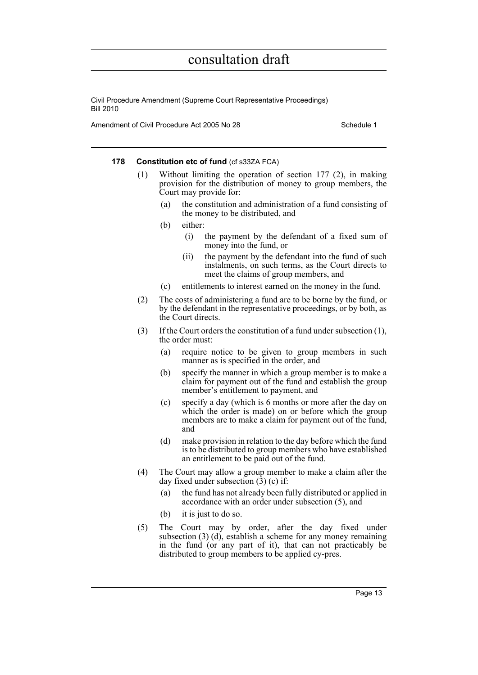Civil Procedure Amendment (Supreme Court Representative Proceedings) Bill 2010

Amendment of Civil Procedure Act 2005 No 28 Schedule 1

#### **178** Constitution etc of fund (cf s33ZA FCA)

- (1) Without limiting the operation of section 177 (2), in making provision for the distribution of money to group members, the Court may provide for:
	- (a) the constitution and administration of a fund consisting of the money to be distributed, and
	- (b) either:
		- (i) the payment by the defendant of a fixed sum of money into the fund, or
		- (ii) the payment by the defendant into the fund of such instalments, on such terms, as the Court directs to meet the claims of group members, and
	- (c) entitlements to interest earned on the money in the fund.
- (2) The costs of administering a fund are to be borne by the fund, or by the defendant in the representative proceedings, or by both, as the Court directs.
- (3) If the Court orders the constitution of a fund under subsection (1), the order must:
	- (a) require notice to be given to group members in such manner as is specified in the order, and
	- (b) specify the manner in which a group member is to make a claim for payment out of the fund and establish the group member's entitlement to payment, and
	- (c) specify a day (which is 6 months or more after the day on which the order is made) on or before which the group members are to make a claim for payment out of the fund, and
	- (d) make provision in relation to the day before which the fund is to be distributed to group members who have established an entitlement to be paid out of the fund.
- (4) The Court may allow a group member to make a claim after the day fixed under subsection (3) (c) if:
	- (a) the fund has not already been fully distributed or applied in accordance with an order under subsection (5), and
	- (b) it is just to do so.
- (5) The Court may by order, after the day fixed under subsection (3) (d), establish a scheme for any money remaining in the fund (or any part of it), that can not practicably be distributed to group members to be applied cy-pres.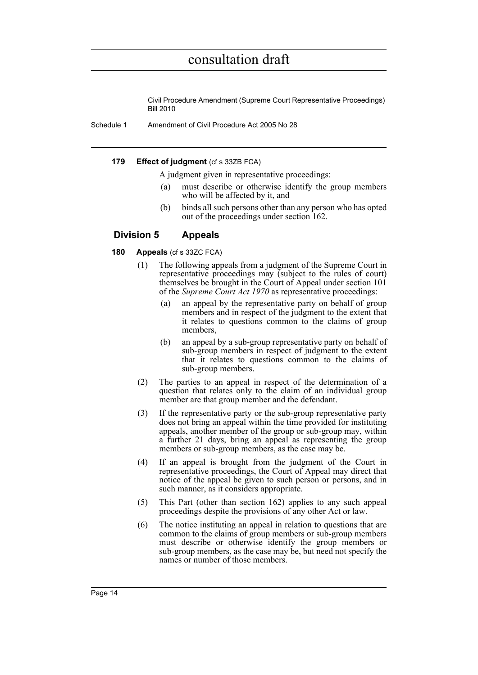Civil Procedure Amendment (Supreme Court Representative Proceedings) Bill 2010

Schedule 1 Amendment of Civil Procedure Act 2005 No 28

### **179 Effect of judgment** (cf s 33ZB FCA)

A judgment given in representative proceedings:

- (a) must describe or otherwise identify the group members who will be affected by it, and
- (b) binds all such persons other than any person who has opted out of the proceedings under section 162.

### **Division 5 Appeals**

### **180 Appeals** (cf s 33ZC FCA)

- (1) The following appeals from a judgment of the Supreme Court in representative proceedings may (subject to the rules of court) themselves be brought in the Court of Appeal under section 101 of the *Supreme Court Act 1970* as representative proceedings:
	- (a) an appeal by the representative party on behalf of group members and in respect of the judgment to the extent that it relates to questions common to the claims of group members,
	- (b) an appeal by a sub-group representative party on behalf of sub-group members in respect of judgment to the extent that it relates to questions common to the claims of sub-group members.
- (2) The parties to an appeal in respect of the determination of a question that relates only to the claim of an individual group member are that group member and the defendant.
- (3) If the representative party or the sub-group representative party does not bring an appeal within the time provided for instituting appeals, another member of the group or sub-group may, within a further 21 days, bring an appeal as representing the group members or sub-group members, as the case may be.
- (4) If an appeal is brought from the judgment of the Court in representative proceedings, the Court of Appeal may direct that notice of the appeal be given to such person or persons, and in such manner, as it considers appropriate.
- (5) This Part (other than section 162) applies to any such appeal proceedings despite the provisions of any other Act or law.
- (6) The notice instituting an appeal in relation to questions that are common to the claims of group members or sub-group members must describe or otherwise identify the group members or sub-group members, as the case may be, but need not specify the names or number of those members.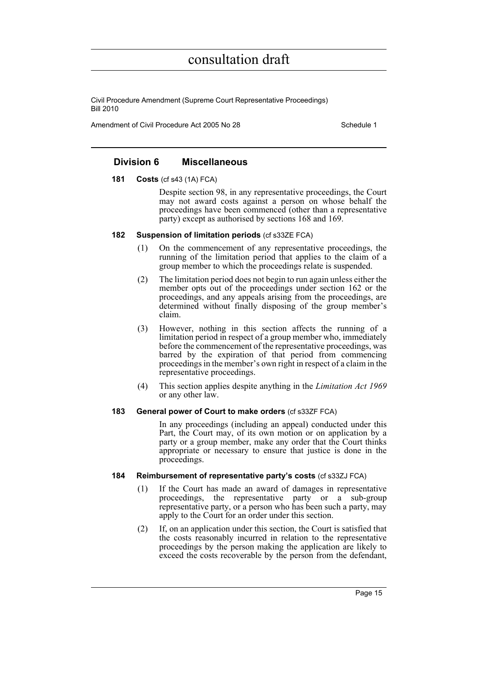Civil Procedure Amendment (Supreme Court Representative Proceedings) Bill 2010

Amendment of Civil Procedure Act 2005 No 28 Schedule 1

### **Division 6 Miscellaneous**

#### **181 Costs** (cf s43 (1A) FCA)

Despite section 98, in any representative proceedings, the Court may not award costs against a person on whose behalf the proceedings have been commenced (other than a representative party) except as authorised by sections 168 and 169.

#### **182 Suspension of limitation periods** (cf s33ZE FCA)

- (1) On the commencement of any representative proceedings, the running of the limitation period that applies to the claim of a group member to which the proceedings relate is suspended.
- (2) The limitation period does not begin to run again unless either the member opts out of the proceedings under section 162 or the proceedings, and any appeals arising from the proceedings, are determined without finally disposing of the group member's claim.
- (3) However, nothing in this section affects the running of a limitation period in respect of a group member who, immediately before the commencement of the representative proceedings, was barred by the expiration of that period from commencing proceedings in the member's own right in respect of a claim in the representative proceedings.
- (4) This section applies despite anything in the *Limitation Act 1969* or any other law.

#### **183 General power of Court to make orders** (cf s33ZF FCA)

In any proceedings (including an appeal) conducted under this Part, the Court may, of its own motion or on application by a party or a group member, make any order that the Court thinks appropriate or necessary to ensure that justice is done in the proceedings.

### **184 Reimbursement of representative party's costs** (cf s33ZJ FCA)

- (1) If the Court has made an award of damages in representative proceedings, the representative party or a sub-group representative party, or a person who has been such a party, may apply to the Court for an order under this section.
- (2) If, on an application under this section, the Court is satisfied that the costs reasonably incurred in relation to the representative proceedings by the person making the application are likely to exceed the costs recoverable by the person from the defendant,